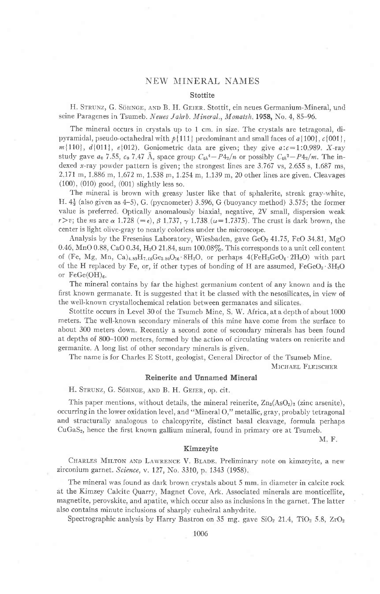# NEW MINERAL NAMES

# Stottite

H. STRUNZ, G. SÖHNGE, AND B. H. GEIER. Stottit, ein neues Germanium-Mineral, und seine Paragenes in Tsumeb. *Neues Jahrb. Mineral., Monatsh.* 1958, No. 4, 85–96.

The minerai occurs in crystals up to 1 cm. in size. The crystals are tetragonal, dipyramidal, pseudo-octahedral with  $p\{111\}$  predominant and small faces of  $q\{100\}$ ,  $c\{001\}$ ,  $m\{110\}$ ,  $d\{011\}$ ,  $e\{012\}$ . Goniometric data are given; they give  $a:c=1:0.989$ . X-ray study gave  $a_0$  7.55,  $c_0$  7.47 Å, space group  $C_{4h}^4-P_{42}/n$  or possibly  $C_{4h}^2-P_{42}/m$ . The indexed x-ray powder pattern is given; the strongest lines are  $3.767$  vs,  $2.655$  s,  $1.687$  ms, 2.171 m, 1.886 m, 1.672 m, 1.538 m, 1.254 m, 1.139 m, 20 other lines are given. Cleavages (100), (010) good, (001) slightly less so.

The mineral is brown with greasy luster like that of sphalerite, streak gray-white, H.  $4\frac{1}{2}$  (also given as 4-5), G. (pycnometer) 3.596, G (buoyancy method) 3.575; the former value is preferred. Optically anomalously biaxial, negative, 2V small, dispersion weak  $r > v$ ; the ns are  $\alpha$  1.728 (= $\epsilon$ ),  $\beta$  1.737,  $\gamma$  1.738 ( $\omega$ =1.7375). The crust is dark brown, the center is light olive-gray to nearly colorless under the microscope.

Analysis by the Fresenius Laboratory, Wiesbaden, gave  $GeO<sub>2</sub> 41.75$ , FeO 34.81, MgO 0.46, MnO 0.88, CaO 0.34, H<sub>2</sub>O 21.84, sum 100.08%. This corresponds to a unit cell content of (Fe, Mg, Mn,  $Ca_{4.89}H_{7.66}Ge_{3.80}O_{16}$  8H<sub>2</sub>O, or perhaps  $4(FeH_2GeO_4 \cdot 2H_2O)$  with part of the H replaced by Fe, or, if other types of bonding of H are assumed,  $FeGeO_3 \cdot 3H_2O$ or  $FeGe(OH)_{6}$ .

The mineral contains by far the highest germanium content of any known and is the first known germanate. It is suggested that it be ciassed with the nesosilicates, in view of the well-known crystallochemical relation between germanates and silicates

Stottite occurs in Level 30 of the Tsumeb Mine, S W. Africa, at a depth of about 1000 meters. The well-known secondary minerals of this mine have come from the surface to about 300 meters down. Recently a second zone of secondary minerals has been found at depths of 800-1000 meters, formed by the action of circulating waters on renierite and germanite A long list of other secondary minerals is given

The name is for Charles E Stott, geologist, Ceneral Director of the Tsumeb Mine. MICHAEL FLEISCHER

#### Reinerite and Unnamed Mineral

H. STRUNZ, G. SÖHNGE, AND B. H. GEIER, op. cit.

This paper mentions, without details, the mineral reinerite,  $Zn_3(AsO_3)_2$  (zinc arsenite), occurring in the lower oxidation level, and "Mineral O," metallic, gray, probably tetragonal and structurally analogous to chalcopyrite, distinct basal cleavage, formula perhaps CuGaS<sub>2</sub>, hence the first known gallium mineral, found in primary ore at Tsumeb.

M. F.

### Kimzeyite

CHARLES MILTON AND LAWRENCE V. BLADE. Preliminary note on kimzeyite, a new zirconium garnet. Science, v. 127, No. 3310, p. 1343 (1958).

The mineral was found as dark brown crystals about 5 mm, in diameter in calcite rock at the Kimzey Calcite Quarry, Magnet Cove, Ark. Associated rninerals are monticellite, magnetite, perovskite, and apatite, which occur also as inclusions in the garnet. The latter also contains minute inclusions of sharply euhedral anhydrite.

Spectrographic analysis by Harry Bastron on 35 mg. gave SiO<sub>2</sub> 21.4, TiO<sub>2</sub> 5.8, ZrO<sub>2</sub>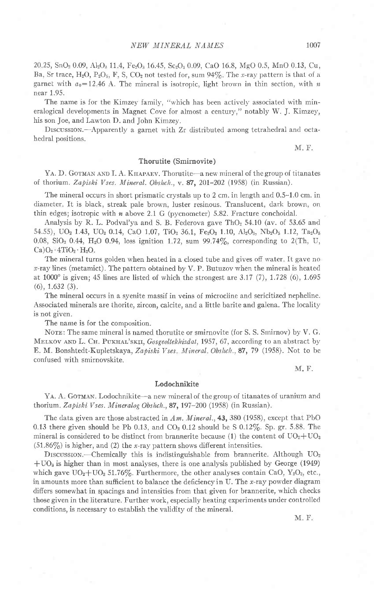20 25, SnO<sub>2</sub> 0.09, Al<sub>2</sub>O<sub>3</sub> 11.4, Fe<sub>2</sub>O<sub>3</sub> 16.45, Sc<sub>2</sub>O<sub>3</sub> 0.09, CaO 16.8, MgO 0.5, MnO 0.13, Cu, Ba, Sr trace, H<sub>2</sub>O, P<sub>2</sub>O<sub>5</sub>, F, S, CO<sub>2</sub> not tested for, sum 94 $\%$ . The x-ray pattern is that of a garnet with  $a_0=12.46$  A. The mineral is isotropic, light brown in thin section, with n near 1.95.

The name is for the Kimzey family, "which has been actively associated with mineralogical developments in Magnet Cove for almost a century," notably W. J. Kimzey, his son Joe, and Lawton D. and John Kimzey.

DISCUSSION.-Apparently a garnet with Zr distributed among tetrahedral and octahedral positions.

M. F.

### Thorutite (Smirnovite)

YA. D. GOTMAN AND I. A. KHAPAEV. Thorutite-a new mineral of the group of titanates of thorium. Zapiski Vses. Mineral. Obshch., v. 87, 201-202 (1958) (in Russian).

The mineral occurs in short prismatic crystals up to 2 cm. in length and 0.5-1.0 cm. in diameter It is black, streak pale brown, luster resinous. Translucent, dark brown, on thin edges; isotropic with  $n$  above 2.1 G (pycnometer) 5.82. Fracture conchoidal.

Analysis by R. L. Podval'ya and S. B. Federova gave ThO<sub>2</sub> 54.10 (av. of 53.65 and 54.55), UO<sub>2</sub> 1.43, UO<sub>3</sub> 0.14, CaO 1.07, TiO<sub>2</sub> 36.1, Fe<sub>2</sub>O<sub>3</sub> 1.10, Al<sub>2</sub>O<sub>3</sub>, Nb<sub>2</sub>O<sub>5</sub> 1.12, Ta<sub>2</sub>O<sub>5</sub> 0.08, SiO<sub>2</sub> 0.44, H<sub>2</sub>O 0.94, loss ignition 1.72, sum 99.74%, corresponding to 2(Th, U,  $Ca$ ) $O_2 \cdot 4TiO_2 \cdot H_2O$ .

The mineral turns golden when heated in a closed tube and gives off water. It gave no  $x$ -ray lines (metamict). The pattern obtained by V. P. Butuzov when the mineral is heated at  $1000^\circ$  is given; 45 lines are listed of which the strongest are 3.17 (7), 1.728 (6), 1.695  $(6), 1.632 (3).$ 

The mineral occurs in a syenite massif in veins of microcline and sericitized nepheline. Associated minerals are thorite, zircon, calcite, and a little barite and galena. The locality is not given.

The name is for the composition.

NOTE: The same mineral is named thorutite or smirnovite (for S. S. Smirnov) by V. G.  $\rm{MEL}$ KOV AND  $\rm{L.~C\textsc{H.}~P}\rm{U}\rm{KH\textsc{AL}^{\prime}S}\rm{KII},$   $\it{Gosgeoltekhizdat},$   $\rm{1957},$   $\rm{67},$   $\rm{according}$  to an abstract by E. M. Bonshtedt-Kupletskaya, Zapiski Vses. Mineral. Obshch., 87, 79 (1958). Not to be confused with smirnovskite.

M. F.

#### Lodochnikite

YA. A. GOTMAN. Lodochnikite-a new mineral of the group of titanates of uranium and thorium. Zapiski V ses. Mineralog Obshch., 87, 197-200 (1958) (in Russian).

The data given are those abstracted in  $Am.$  Mineral., 43, 380 (1958), except that PbO 0.13 there given should be Pb 0.13, and  $CO<sub>2</sub>$  0.12 should be S 0.12%. Sp. gr. 5.88. The mineral is considered to be distinct from brannerite because (1) the content of  $UO_2+UO_3$  $(51.86\%)$  is higher, and (2) the x-ray pattern shows different intensities.

DISCUSSION.--Chemically this is indistinguishable from brannerite. Although  $UO<sub>2</sub>$  $+\text{UO}_3$  is higher than in most analyses, there is one analysis published by George (1949) which gave  $UO_2+UO_3$  51.76%. Furthermore, the other analyses contain CaO, Y<sub>2</sub>O<sub>3</sub>, etc., in amounts more than sufficient to balance the deficiency in U. The  $x$ -ray powder diagram differs somewhat in spacings and intensities from that given for brannerite, which checks those given in the literature. Further work, especially heating experiments under controlled conditions, is necessary to establish the validity of the mineral.

M. F.